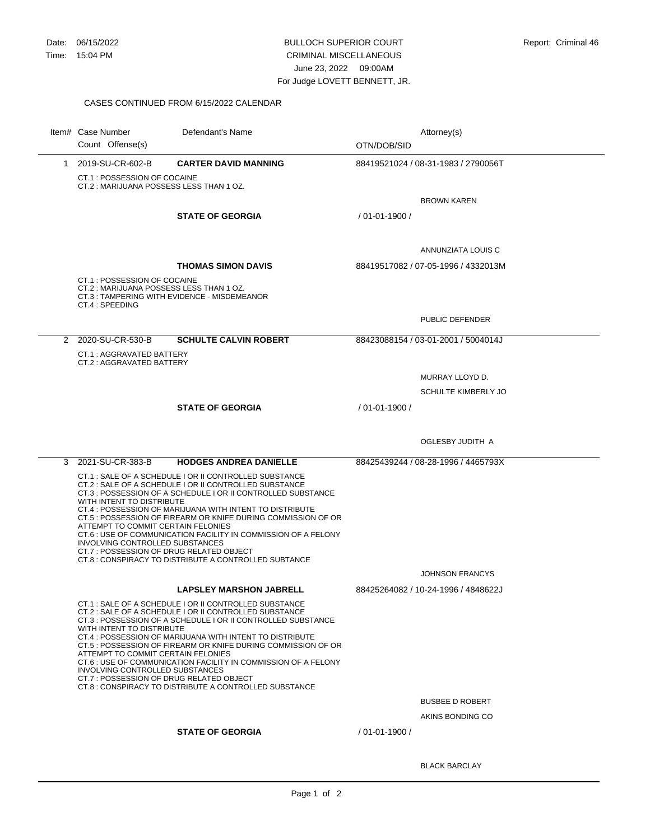## BULLOCH SUPERIOR COURT CRIMINAL MISCELLANEOUS June 23, 2022 09:00AM For Judge LOVETT BENNETT, JR.

## CASES CONTINUED FROM 6/15/2022 CALENDAR

|   | Item# Case Number<br>Count Offense(s)                                                                                                          | Defendant's Name                                                                                                                                                                                                                                                                                                                                                                                                                        | Attorney(s)<br>OTN/DOB/SID          |  |
|---|------------------------------------------------------------------------------------------------------------------------------------------------|-----------------------------------------------------------------------------------------------------------------------------------------------------------------------------------------------------------------------------------------------------------------------------------------------------------------------------------------------------------------------------------------------------------------------------------------|-------------------------------------|--|
|   | 1 2019-SU-CR-602-B<br>CT.1: POSSESSION OF COCAINE<br>CT.2: MARIJUANA POSSESS LESS THAN 1 OZ.                                                   | <b>CARTER DAVID MANNING</b>                                                                                                                                                                                                                                                                                                                                                                                                             | 88419521024 / 08-31-1983 / 2790056T |  |
|   |                                                                                                                                                |                                                                                                                                                                                                                                                                                                                                                                                                                                         | <b>BROWN KAREN</b>                  |  |
|   |                                                                                                                                                | <b>STATE OF GEORGIA</b>                                                                                                                                                                                                                                                                                                                                                                                                                 | $/01 - 01 - 1900/$                  |  |
|   |                                                                                                                                                |                                                                                                                                                                                                                                                                                                                                                                                                                                         | ANNUNZIATA LOUIS C                  |  |
|   |                                                                                                                                                | <b>THOMAS SIMON DAVIS</b>                                                                                                                                                                                                                                                                                                                                                                                                               | 88419517082 / 07-05-1996 / 4332013M |  |
|   | CT.1: POSSESSION OF COCAINE<br>CT.2: MARIJUANA POSSESS LESS THAN 1 OZ.<br>CT.4 : SPEEDING                                                      | CT.3: TAMPERING WITH EVIDENCE - MISDEMEANOR                                                                                                                                                                                                                                                                                                                                                                                             |                                     |  |
|   |                                                                                                                                                |                                                                                                                                                                                                                                                                                                                                                                                                                                         | PUBLIC DEFENDER                     |  |
|   | 2 2020-SU-CR-530-B                                                                                                                             | <b>SCHULTE CALVIN ROBERT</b>                                                                                                                                                                                                                                                                                                                                                                                                            | 88423088154 / 03-01-2001 / 5004014J |  |
|   | CT.1: AGGRAVATED BATTERY<br>CT.2: AGGRAVATED BATTERY                                                                                           |                                                                                                                                                                                                                                                                                                                                                                                                                                         |                                     |  |
|   |                                                                                                                                                |                                                                                                                                                                                                                                                                                                                                                                                                                                         | MURRAY LLOYD D.                     |  |
|   |                                                                                                                                                |                                                                                                                                                                                                                                                                                                                                                                                                                                         | <b>SCHULTE KIMBERLY JO</b>          |  |
|   |                                                                                                                                                | <b>STATE OF GEORGIA</b>                                                                                                                                                                                                                                                                                                                                                                                                                 | / 01-01-1900 /                      |  |
|   |                                                                                                                                                |                                                                                                                                                                                                                                                                                                                                                                                                                                         |                                     |  |
|   |                                                                                                                                                |                                                                                                                                                                                                                                                                                                                                                                                                                                         | OGLESBY JUDITH A                    |  |
| 3 | 2021-SU-CR-383-B                                                                                                                               | <b>HODGES ANDREA DANIELLE</b>                                                                                                                                                                                                                                                                                                                                                                                                           | 88425439244 / 08-28-1996 / 4465793X |  |
|   | WITH INTENT TO DISTRIBUTE<br>ATTEMPT TO COMMIT CERTAIN FELONIES<br>INVOLVING CONTROLLED SUBSTANCES<br>CT.7: POSSESSION OF DRUG RELATED OBJECT  | CT.1 : SALE OF A SCHEDULE I OR II CONTROLLED SUBSTANCE<br>CT.2 : SALE OF A SCHEDULE I OR II CONTROLLED SUBSTANCE<br>CT.3 : POSSESSION OF A SCHEDULE I OR II CONTROLLED SUBSTANCE<br>CT.4 : POSSESSION OF MARIJUANA WITH INTENT TO DISTRIBUTE<br>CT.5 : POSSESSION OF FIREARM OR KNIFE DURING COMMISSION OF OR<br>CT.6 : USE OF COMMUNICATION FACILITY IN COMMISSION OF A FELONY<br>CT.8: CONSPIRACY TO DISTRIBUTE A CONTROLLED SUBTANCE |                                     |  |
|   |                                                                                                                                                |                                                                                                                                                                                                                                                                                                                                                                                                                                         | <b>JOHNSON FRANCYS</b>              |  |
|   |                                                                                                                                                | <b>LAPSLEY MARSHON JABRELL</b>                                                                                                                                                                                                                                                                                                                                                                                                          | 88425264082 / 10-24-1996 / 4848622J |  |
|   | WITH INTENT TO DISTRIBUTE<br>ATTEMPT TO COMMIT CERTAIN FELONIES<br>INVOLVING CONTROLLED SUBSTANCES<br>CT.7 : POSSESSION OF DRUG RELATED OBJECT | CT.1: SALE OF A SCHEDULE I OR II CONTROLLED SUBSTANCE<br>CT.2 : SALE OF A SCHEDULE I OR II CONTROLLED SUBSTANCE<br>CT.3 : POSSESSION OF A SCHEDULE I OR II CONTROLLED SUBSTANCE<br>CT.4 : POSSESSION OF MARIJUANA WITH INTENT TO DISTRIBUTE<br>CT.5 : POSSESSION OF FIREARM OR KNIFE DURING COMMISSION OF OR<br>CT.6 : USE OF COMMUNICATION FACILITY IN COMMISSION OF A FELONY<br>CT.8: CONSPIRACY TO DISTRIBUTE A CONTROLLED SUBSTANCE |                                     |  |
|   |                                                                                                                                                |                                                                                                                                                                                                                                                                                                                                                                                                                                         | <b>BUSBEE D ROBERT</b>              |  |
|   |                                                                                                                                                | <b>STATE OF GEORGIA</b>                                                                                                                                                                                                                                                                                                                                                                                                                 | AKINS BONDING CO<br>/ 01-01-1900 /  |  |
|   |                                                                                                                                                |                                                                                                                                                                                                                                                                                                                                                                                                                                         |                                     |  |

BLACK BARCLAY